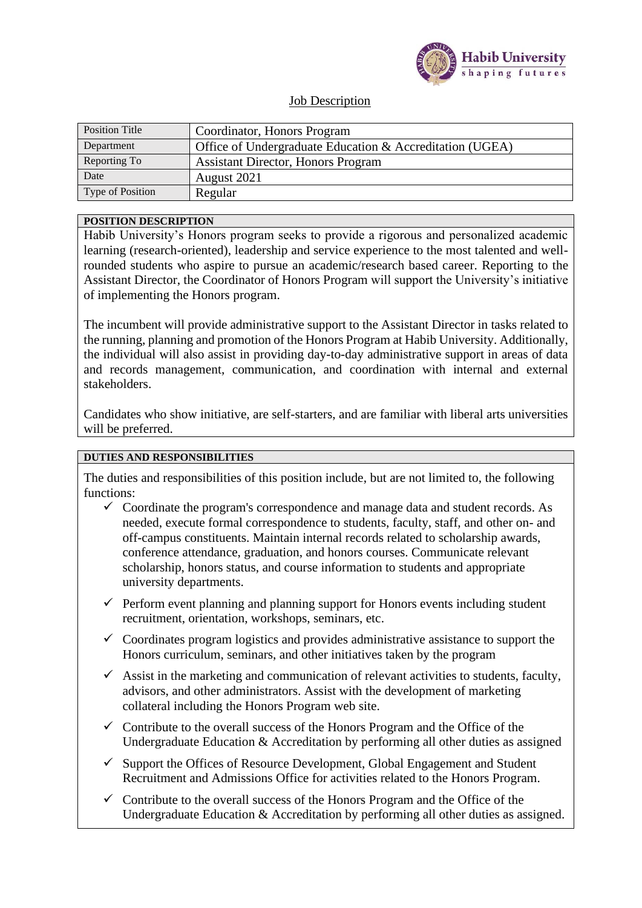

# Job Description

| <b>Position Title</b> | Coordinator, Honors Program                              |  |
|-----------------------|----------------------------------------------------------|--|
| Department            | Office of Undergraduate Education & Accreditation (UGEA) |  |
| Reporting To          | <b>Assistant Director, Honors Program</b>                |  |
| Date                  | August 2021                                              |  |
| Type of Position      | Regular                                                  |  |

#### **POSITION DESCRIPTION**

Habib University's Honors program seeks to provide a rigorous and personalized academic learning (research-oriented), leadership and service experience to the most talented and wellrounded students who aspire to pursue an academic/research based career. Reporting to the Assistant Director, the Coordinator of Honors Program will support the University's initiative of implementing the Honors program.

The incumbent will provide administrative support to the Assistant Director in tasks related to the running, planning and promotion of the Honors Program at Habib University. Additionally, the individual will also assist in providing day-to-day administrative support in areas of data and records management, communication, and coordination with internal and external stakeholders.

Candidates who show initiative, are self-starters, and are familiar with liberal arts universities will be preferred.

### **DUTIES AND RESPONSIBILITIES**

The duties and responsibilities of this position include, but are not limited to, the following functions:

- $\checkmark$  Coordinate the program's correspondence and manage data and student records. As needed, execute formal correspondence to students, faculty, staff, and other on- and off-campus constituents. Maintain internal records related to scholarship awards, conference attendance, graduation, and honors courses. Communicate relevant scholarship, honors status, and course information to students and appropriate university departments.
- $\checkmark$  Perform event planning and planning support for Honors events including student recruitment, orientation, workshops, seminars, etc.
- $\checkmark$  Coordinates program logistics and provides administrative assistance to support the Honors curriculum, seminars, and other initiatives taken by the program
- $\checkmark$  Assist in the marketing and communication of relevant activities to students, faculty, advisors, and other administrators. Assist with the development of marketing collateral including the Honors Program web site.
- $\checkmark$  Contribute to the overall success of the Honors Program and the Office of the Undergraduate Education & Accreditation by performing all other duties as assigned
- $\checkmark$  Support the Offices of Resource Development, Global Engagement and Student Recruitment and Admissions Office for activities related to the Honors Program.
- $\checkmark$  Contribute to the overall success of the Honors Program and the Office of the Undergraduate Education & Accreditation by performing all other duties as assigned.